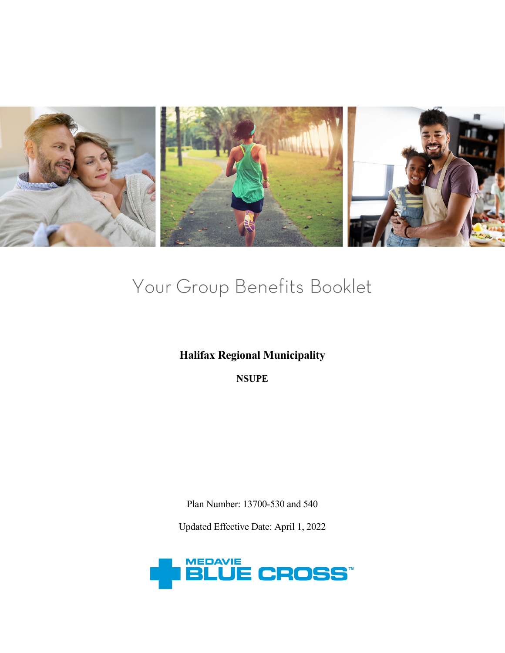

# Your Group Benefits Booklet

# **Halifax Regional Municipality**

**NSUPE**

Plan Number: 13700-530 and 540

Updated Effective Date: April 1, 2022

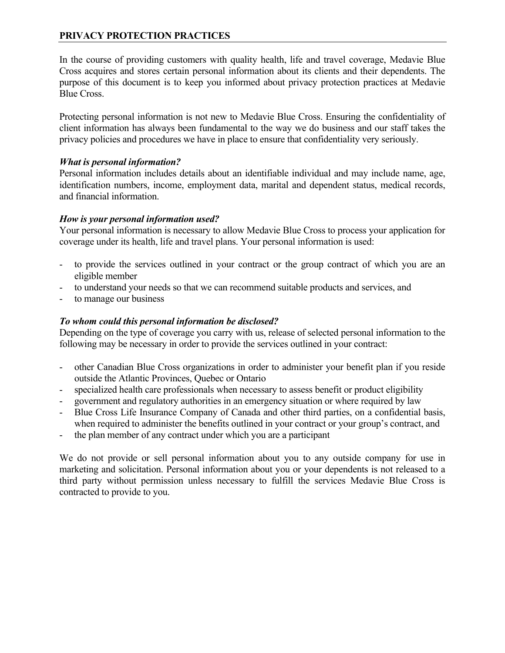# **PRIVACY PROTECTION PRACTICES**

In the course of providing customers with quality health, life and travel coverage, Medavie Blue Cross acquires and stores certain personal information about its clients and their dependents. The purpose of this document is to keep you informed about privacy protection practices at Medavie Blue Cross.

Protecting personal information is not new to Medavie Blue Cross. Ensuring the confidentiality of client information has always been fundamental to the way we do business and our staff takes the privacy policies and procedures we have in place to ensure that confidentiality very seriously.

### *What is personal information?*

Personal information includes details about an identifiable individual and may include name, age, identification numbers, income, employment data, marital and dependent status, medical records, and financial information.

### *How is your personal information used?*

Your personal information is necessary to allow Medavie Blue Cross to process your application for coverage under its health, life and travel plans. Your personal information is used:

- to provide the services outlined in your contract or the group contract of which you are an eligible member
- to understand your needs so that we can recommend suitable products and services, and
- to manage our business

### *To whom could this personal information be disclosed?*

Depending on the type of coverage you carry with us, release of selected personal information to the following may be necessary in order to provide the services outlined in your contract:

- other Canadian Blue Cross organizations in order to administer your benefit plan if you reside outside the Atlantic Provinces, Quebec or Ontario
- specialized health care professionals when necessary to assess benefit or product eligibility
- government and regulatory authorities in an emergency situation or where required by law
- Blue Cross Life Insurance Company of Canada and other third parties, on a confidential basis, when required to administer the benefits outlined in your contract or your group's contract, and
- the plan member of any contract under which you are a participant

We do not provide or sell personal information about you to any outside company for use in marketing and solicitation. Personal information about you or your dependents is not released to a third party without permission unless necessary to fulfill the services Medavie Blue Cross is contracted to provide to you.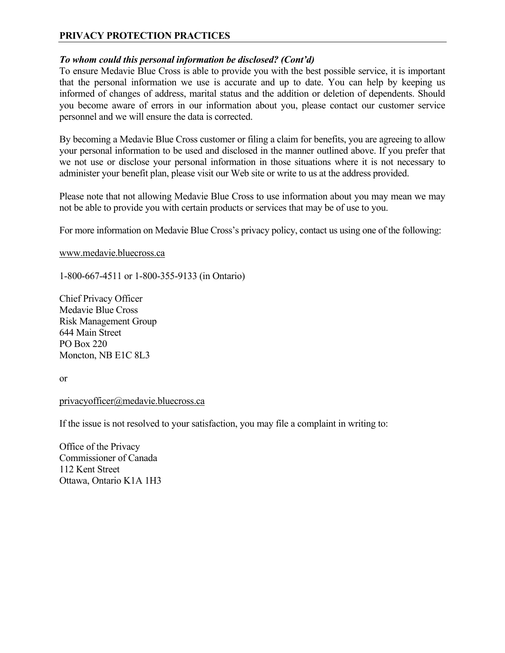# **PRIVACY PROTECTION PRACTICES**

### *To whom could this personal information be disclosed? (Cont'd)*

To ensure Medavie Blue Cross is able to provide you with the best possible service, it is important that the personal information we use is accurate and up to date. You can help by keeping us informed of changes of address, marital status and the addition or deletion of dependents. Should you become aware of errors in our information about you, please contact our customer service personnel and we will ensure the data is corrected.

By becoming a Medavie Blue Cross customer or filing a claim for benefits, you are agreeing to allow your personal information to be used and disclosed in the manner outlined above. If you prefer that we not use or disclose your personal information in those situations where it is not necessary to administer your benefit plan, please visit our Web site or write to us at the address provided.

Please note that not allowing Medavie Blue Cross to use information about you may mean we may not be able to provide you with certain products or services that may be of use to you.

For more information on Medavie Blue Cross's privacy policy, contact us using one of the following:

[www.medavie.bluecross.ca](http://www.medavie.bluecross.ca/)

1-800-667-4511 or 1-800-355-9133 (in Ontario)

Chief Privacy Officer Medavie Blue Cross Risk Management Group 644 Main Street PO Box 220 Moncton, NB E1C 8L3

or

### [privacyofficer@medavie.bluecross.ca](mailto:privacyofficer@medavie.bluecross.ca)

If the issue is not resolved to your satisfaction, you may file a complaint in writing to:

Office of the Privacy Commissioner of Canada 112 Kent Street Ottawa, Ontario K1A 1H3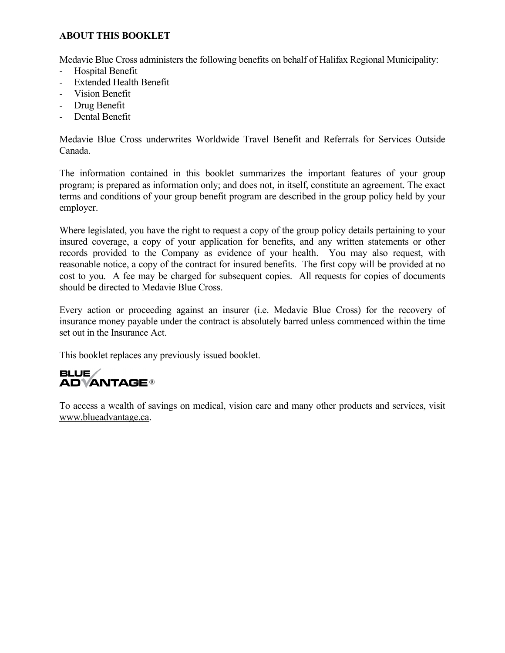# **ABOUT THIS BOOKLET**

Medavie Blue Cross administers the following benefits on behalf of Halifax Regional Municipality:

- Hospital Benefit
- Extended Health Benefit
- Vision Benefit
- Drug Benefit
- Dental Benefit

Medavie Blue Cross underwrites Worldwide Travel Benefit and Referrals for Services Outside Canada.

The information contained in this booklet summarizes the important features of your group program; is prepared as information only; and does not, in itself, constitute an agreement. The exact terms and conditions of your group benefit program are described in the group policy held by your employer.

Where legislated, you have the right to request a copy of the group policy details pertaining to your insured coverage, a copy of your application for benefits, and any written statements or other records provided to the Company as evidence of your health. You may also request, with reasonable notice, a copy of the contract for insured benefits. The first copy will be provided at no cost to you. A fee may be charged for subsequent copies. All requests for copies of documents should be directed to Medavie Blue Cross.

Every action or proceeding against an insurer (i.e. Medavie Blue Cross) for the recovery of insurance money payable under the contract is absolutely barred unless commenced within the time set out in the Insurance Act.

This booklet replaces any previously issued booklet.

# **BLUE ADVANTAGE®**

To access a wealth of savings on medical, vision care and many other products and services, visit www.blueadvantage.ca.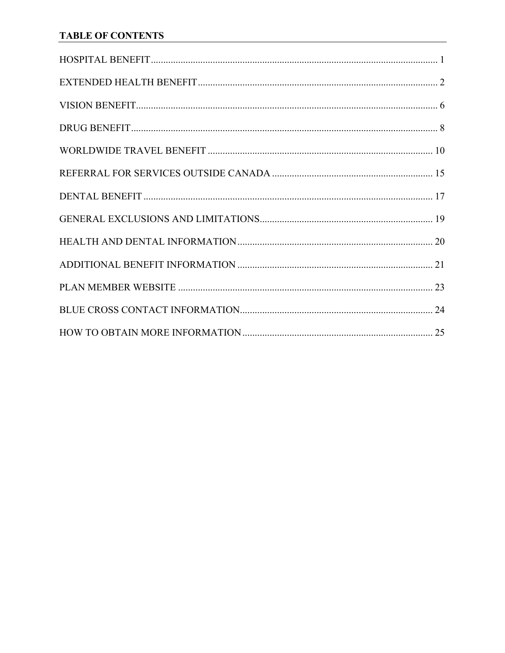# **TABLE OF CONTENTS**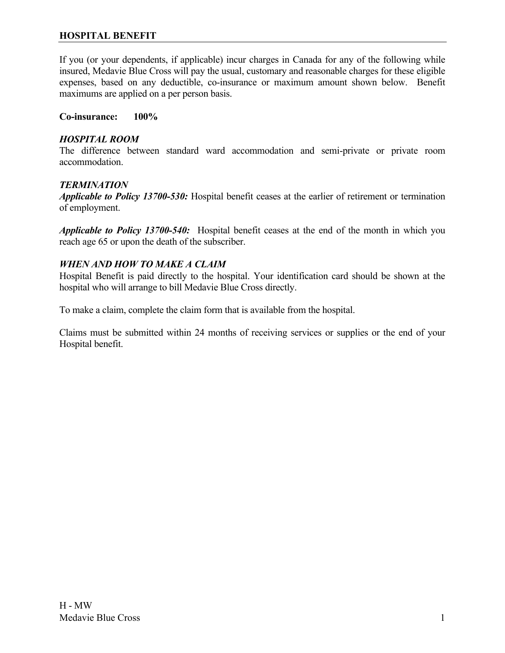### <span id="page-5-0"></span>**HOSPITAL BENEFIT**

If you (or your dependents, if applicable) incur charges in Canada for any of the following while insured, Medavie Blue Cross will pay the usual, customary and reasonable charges for these eligible expenses, based on any deductible, co-insurance or maximum amount shown below. Benefit maximums are applied on a per person basis.

**Co-insurance: 100%**

### *HOSPITAL ROOM*

The difference between standard ward accommodation and semi-private or private room accommodation.

### *TERMINATION*

*Applicable to Policy 13700-530:* Hospital benefit ceases at the earlier of retirement or termination of employment.

*Applicable to Policy 13700-540:* Hospital benefit ceases at the end of the month in which you reach age 65 or upon the death of the subscriber.

### *WHEN AND HOW TO MAKE A CLAIM*

Hospital Benefit is paid directly to the hospital. Your identification card should be shown at the hospital who will arrange to bill Medavie Blue Cross directly.

To make a claim, complete the claim form that is available from the hospital.

Claims must be submitted within 24 months of receiving services or supplies or the end of your Hospital benefit.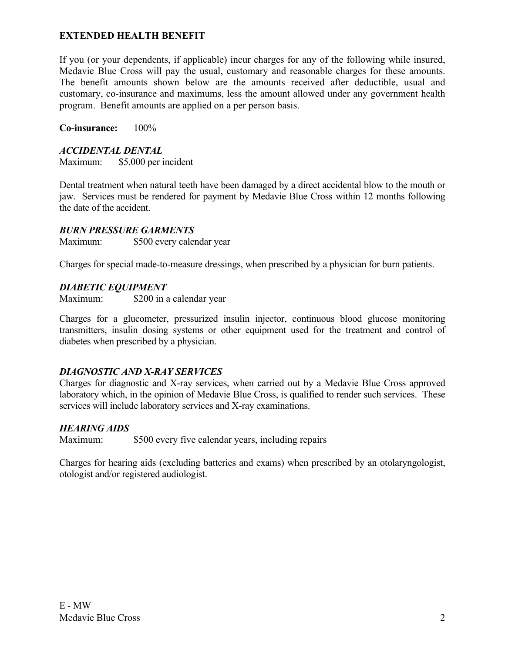<span id="page-6-0"></span>If you (or your dependents, if applicable) incur charges for any of the following while insured, Medavie Blue Cross will pay the usual, customary and reasonable charges for these amounts. The benefit amounts shown below are the amounts received after deductible, usual and customary, co-insurance and maximums, less the amount allowed under any government health program. Benefit amounts are applied on a per person basis.

**Co-insurance:** 100%

### *ACCIDENTAL DENTAL*

Maximum: \$5,000 per incident

Dental treatment when natural teeth have been damaged by a direct accidental blow to the mouth or jaw. Services must be rendered for payment by Medavie Blue Cross within 12 months following the date of the accident.

### *BURN PRESSURE GARMENTS*

Maximum: \$500 every calendar year

Charges for special made-to-measure dressings, when prescribed by a physician for burn patients.

### *DIABETIC EQUIPMENT*

Maximum: \$200 in a calendar year

Charges for a glucometer, pressurized insulin injector, continuous blood glucose monitoring transmitters, insulin dosing systems or other equipment used for the treatment and control of diabetes when prescribed by a physician.

### *DIAGNOSTIC AND X-RAY SERVICES*

Charges for diagnostic and X-ray services, when carried out by a Medavie Blue Cross approved laboratory which, in the opinion of Medavie Blue Cross, is qualified to render such services. These services will include laboratory services and X-ray examinations.

### *HEARING AIDS*

Maximum: \$500 every five calendar years, including repairs

Charges for hearing aids (excluding batteries and exams) when prescribed by an otolaryngologist, otologist and/or registered audiologist.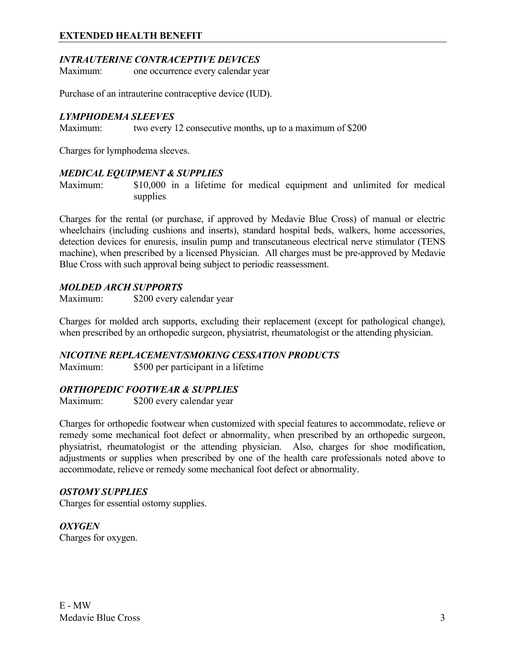### *INTRAUTERINE CONTRACEPTIVE DEVICES*

Maximum: one occurrence every calendar year

Purchase of an intrauterine contraceptive device (IUD).

### *LYMPHODEMA SLEEVES*

Maximum: two every 12 consecutive months, up to a maximum of \$200

Charges for lymphodema sleeves.

### *MEDICAL EQUIPMENT & SUPPLIES*

Maximum: \$10,000 in a lifetime for medical equipment and unlimited for medical supplies

Charges for the rental (or purchase, if approved by Medavie Blue Cross) of manual or electric wheelchairs (including cushions and inserts), standard hospital beds, walkers, home accessories, detection devices for enuresis, insulin pump and transcutaneous electrical nerve stimulator (TENS machine), when prescribed by a licensed Physician. All charges must be pre-approved by Medavie Blue Cross with such approval being subject to periodic reassessment.

### *MOLDED ARCH SUPPORTS*

Maximum: \$200 every calendar year

Charges for molded arch supports, excluding their replacement (except for pathological change), when prescribed by an orthopedic surgeon, physiatrist, rheumatologist or the attending physician.

### *NICOTINE REPLACEMENT/SMOKING CESSATION PRODUCTS*

Maximum: \$500 per participant in a lifetime

### *ORTHOPEDIC FOOTWEAR & SUPPLIES*

Maximum: \$200 every calendar year

Charges for orthopedic footwear when customized with special features to accommodate, relieve or remedy some mechanical foot defect or abnormality, when prescribed by an orthopedic surgeon, physiatrist, rheumatologist or the attending physician. Also, charges for shoe modification, adjustments or supplies when prescribed by one of the health care professionals noted above to accommodate, relieve or remedy some mechanical foot defect or abnormality.

### *OSTOMY SUPPLIES*

Charges for essential ostomy supplies.

*OXYGEN* Charges for oxygen.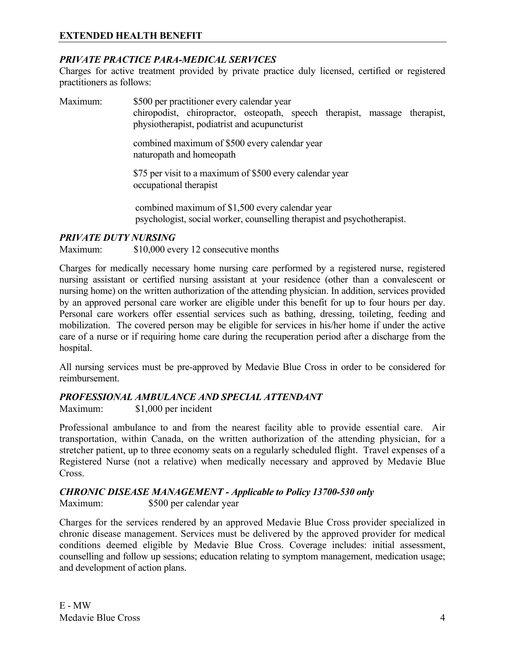### *PRIVATE PRACTICE PARA-MEDICAL SERVICES*

Charges for active treatment provided by private practice duly licensed, certified or registered practitioners as follows:

Maximum: \$500 per practitioner every calendar year chiropodist, chiropractor, osteopath, speech therapist, massage therapist, physiotherapist, podiatrist and acupuncturist combined maximum of \$500 every calendar year naturopath and homeopath

> \$75 per visit to a maximum of \$500 every calendar year occupational therapist

combined maximum of \$1,500 every calendar year psychologist, social worker, counselling therapist and psychotherapist.

### *PRIVATE DUTY NURSING*

Maximum: \$10,000 every 12 consecutive months

Charges for medically necessary home nursing care performed by a registered nurse, registered nursing assistant or certified nursing assistant at your residence (other than a convalescent or nursing home) on the written authorization of the attending physician. In addition, services provided by an approved personal care worker are eligible under this benefit for up to four hours per day. Personal care workers offer essential services such as bathing, dressing, toileting, feeding and mobilization. The covered person may be eligible for services in his/her home if under the active care of a nurse or if requiring home care during the recuperation period after a discharge from the hospital.

All nursing services must be pre-approved by Medavie Blue Cross in order to be considered for reimbursement.

### *PROFESSIONAL AMBULANCE AND SPECIAL ATTENDANT*

Maximum: \$1,000 per incident

Professional ambulance to and from the nearest facility able to provide essential care. Air transportation, within Canada, on the written authorization of the attending physician, for a stretcher patient, up to three economy seats on a regularly scheduled flight. Travel expenses of a Registered Nurse (not a relative) when medically necessary and approved by Medavie Blue Cross.

### *CHRONIC DISEASE MANAGEMENT - Applicable to Policy 13700-530 only*

Maximum: \$500 per calendar year

Charges for the services rendered by an approved Medavie Blue Cross provider specialized in chronic disease management. Services must be delivered by the approved provider for medical conditions deemed eligible by Medavie Blue Cross. Coverage includes: initial assessment, counselling and follow up sessions; education relating to symptom management, medication usage; and development of action plans.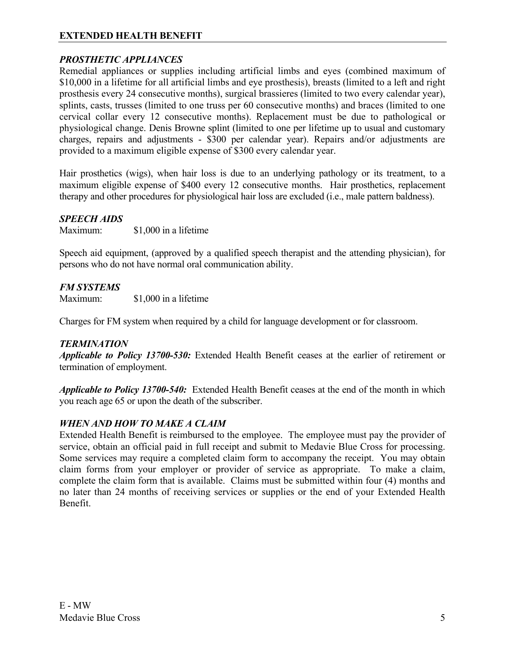### *PROSTHETIC APPLIANCES*

Remedial appliances or supplies including artificial limbs and eyes (combined maximum of \$10,000 in a lifetime for all artificial limbs and eye prosthesis), breasts (limited to a left and right prosthesis every 24 consecutive months), surgical brassieres (limited to two every calendar year), splints, casts, trusses (limited to one truss per 60 consecutive months) and braces (limited to one cervical collar every 12 consecutive months). Replacement must be due to pathological or physiological change. Denis Browne splint (limited to one per lifetime up to usual and customary charges, repairs and adjustments - \$300 per calendar year). Repairs and/or adjustments are provided to a maximum eligible expense of \$300 every calendar year.

Hair prosthetics (wigs), when hair loss is due to an underlying pathology or its treatment, to a maximum eligible expense of \$400 every 12 consecutive months. Hair prosthetics, replacement therapy and other procedures for physiological hair loss are excluded (i.e., male pattern baldness).

### *SPEECH AIDS*

Maximum: \$1,000 in a lifetime

Speech aid equipment, (approved by a qualified speech therapist and the attending physician), for persons who do not have normal oral communication ability.

### *FM SYSTEMS*

Maximum: \$1,000 in a lifetime

Charges for FM system when required by a child for language development or for classroom.

### *TERMINATION*

*Applicable to Policy 13700-530:* Extended Health Benefit ceases at the earlier of retirement or termination of employment.

*Applicable to Policy 13700-540:* Extended Health Benefit ceases at the end of the month in which you reach age 65 or upon the death of the subscriber.

### *WHEN AND HOW TO MAKE A CLAIM*

Extended Health Benefit is reimbursed to the employee. The employee must pay the provider of service, obtain an official paid in full receipt and submit to Medavie Blue Cross for processing. Some services may require a completed claim form to accompany the receipt. You may obtain claim forms from your employer or provider of service as appropriate. To make a claim, complete the claim form that is available. Claims must be submitted within four (4) months and no later than 24 months of receiving services or supplies or the end of your Extended Health Benefit.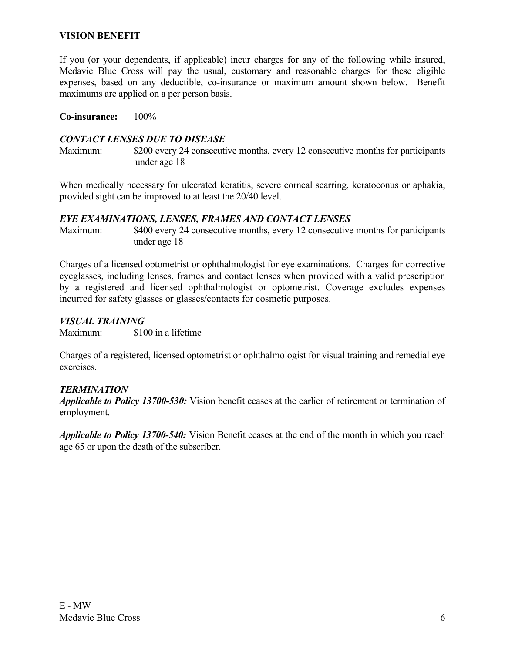<span id="page-10-0"></span>If you (or your dependents, if applicable) incur charges for any of the following while insured, Medavie Blue Cross will pay the usual, customary and reasonable charges for these eligible expenses, based on any deductible, co-insurance or maximum amount shown below. Benefit maximums are applied on a per person basis.

**Co-insurance:** 100%

### *CONTACT LENSES DUE TO DISEASE*

Maximum: \$200 every 24 consecutive months, every 12 consecutive months for participants under age 18

When medically necessary for ulcerated keratitis, severe corneal scarring, keratoconus or aphakia, provided sight can be improved to at least the 20/40 level.

### *EYE EXAMINATIONS, LENSES, FRAMES AND CONTACT LENSES*

Maximum: \$400 every 24 consecutive months, every 12 consecutive months for participants under age 18

Charges of a licensed optometrist or ophthalmologist for eye examinations. Charges for corrective eyeglasses, including lenses, frames and contact lenses when provided with a valid prescription by a registered and licensed ophthalmologist or optometrist. Coverage excludes expenses incurred for safety glasses or glasses/contacts for cosmetic purposes.

### *VISUAL TRAINING*

Maximum: \$100 in a lifetime

Charges of a registered, licensed optometrist or ophthalmologist for visual training and remedial eye exercises.

### *TERMINATION*

*Applicable to Policy 13700-530:* Vision benefit ceases at the earlier of retirement or termination of employment.

*Applicable to Policy 13700-540:* Vision Benefit ceases at the end of the month in which you reach age 65 or upon the death of the subscriber.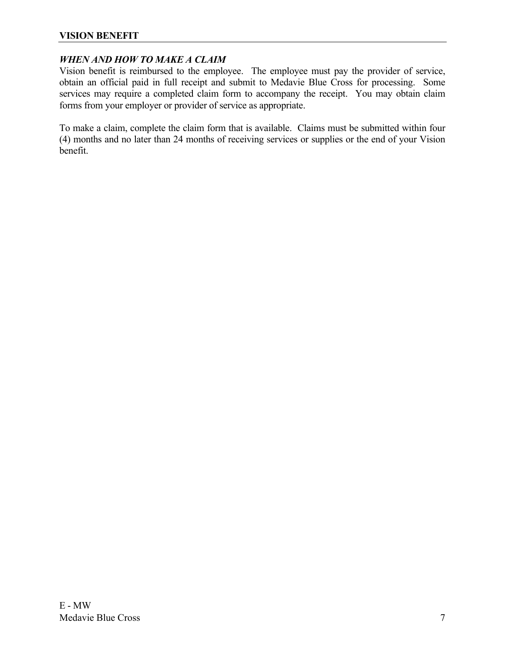### **VISION BENEFIT**

### *WHEN AND HOW TO MAKE A CLAIM*

Vision benefit is reimbursed to the employee. The employee must pay the provider of service, obtain an official paid in full receipt and submit to Medavie Blue Cross for processing. Some services may require a completed claim form to accompany the receipt. You may obtain claim forms from your employer or provider of service as appropriate.

To make a claim, complete the claim form that is available. Claims must be submitted within four (4) months and no later than 24 months of receiving services or supplies or the end of your Vision benefit.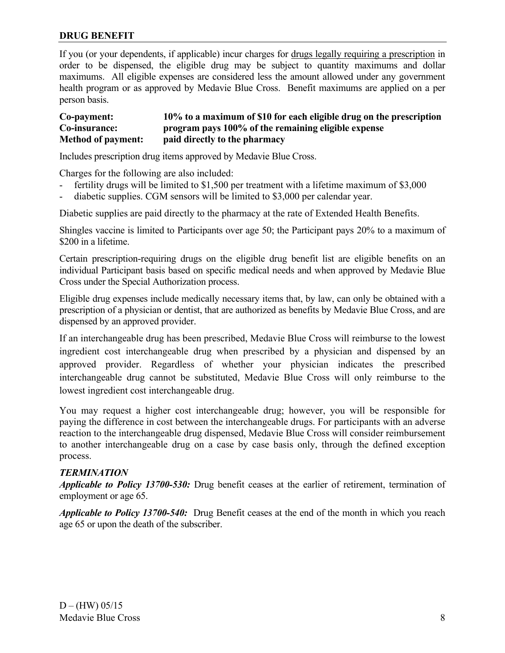### <span id="page-12-0"></span>**DRUG BENEFIT**

If you (or your dependents, if applicable) incur charges for drugs legally requiring a prescription in order to be dispensed, the eligible drug may be subject to quantity maximums and dollar maximums. All eligible expenses are considered less the amount allowed under any government health program or as approved by Medavie Blue Cross. Benefit maximums are applied on a per person basis.

### **Co-payment: 10% to a maximum of \$10 for each eligible drug on the prescription Co-insurance: program pays 100% of the remaining eligible expense Method of payment: paid directly to the pharmacy**

Includes prescription drug items approved by Medavie Blue Cross.

Charges for the following are also included:

- fertility drugs will be limited to \$1,500 per treatment with a lifetime maximum of \$3,000
- diabetic supplies. CGM sensors will be limited to \$3,000 per calendar year.

Diabetic supplies are paid directly to the pharmacy at the rate of Extended Health Benefits.

Shingles vaccine is limited to Participants over age 50; the Participant pays 20% to a maximum of \$200 in a lifetime.

Certain prescription-requiring drugs on the eligible drug benefit list are eligible benefits on an individual Participant basis based on specific medical needs and when approved by Medavie Blue Cross under the Special Authorization process.

Eligible drug expenses include medically necessary items that, by law, can only be obtained with a prescription of a physician or dentist, that are authorized as benefits by Medavie Blue Cross, and are dispensed by an approved provider.

If an interchangeable drug has been prescribed, Medavie Blue Cross will reimburse to the lowest ingredient cost interchangeable drug when prescribed by a physician and dispensed by an approved provider. Regardless of whether your physician indicates the prescribed interchangeable drug cannot be substituted, Medavie Blue Cross will only reimburse to the lowest ingredient cost interchangeable drug.

You may request a higher cost interchangeable drug; however, you will be responsible for paying the difference in cost between the interchangeable drugs. For participants with an adverse reaction to the interchangeable drug dispensed, Medavie Blue Cross will consider reimbursement to another interchangeable drug on a case by case basis only, through the defined exception process.

### *TERMINATION*

*Applicable to Policy 13700-530:* Drug benefit ceases at the earlier of retirement, termination of employment or age 65.

*Applicable to Policy 13700-540:* Drug Benefit ceases at the end of the month in which you reach age 65 or upon the death of the subscriber.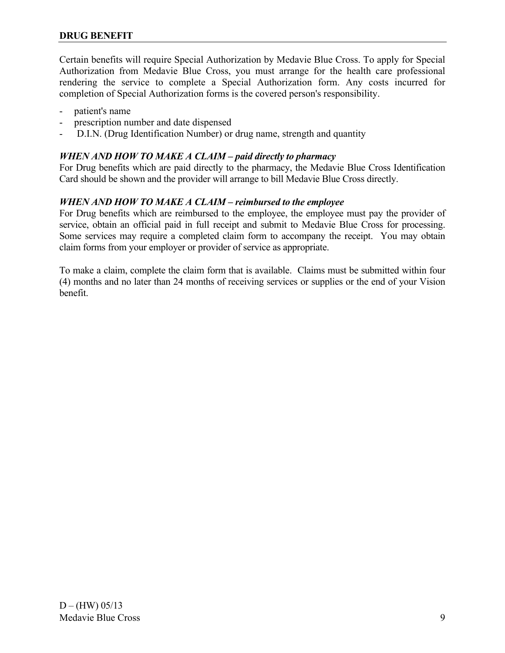Certain benefits will require Special Authorization by Medavie Blue Cross. To apply for Special Authorization from Medavie Blue Cross, you must arrange for the health care professional rendering the service to complete a Special Authorization form. Any costs incurred for completion of Special Authorization forms is the covered person's responsibility.

- patient's name
- prescription number and date dispensed
- D.I.N. (Drug Identification Number) or drug name, strength and quantity

### *WHEN AND HOW TO MAKE A CLAIM – paid directly to pharmacy*

For Drug benefits which are paid directly to the pharmacy, the Medavie Blue Cross Identification Card should be shown and the provider will arrange to bill Medavie Blue Cross directly.

### *WHEN AND HOW TO MAKE A CLAIM – reimbursed to the employee*

For Drug benefits which are reimbursed to the employee, the employee must pay the provider of service, obtain an official paid in full receipt and submit to Medavie Blue Cross for processing. Some services may require a completed claim form to accompany the receipt. You may obtain claim forms from your employer or provider of service as appropriate.

To make a claim, complete the claim form that is available. Claims must be submitted within four (4) months and no later than 24 months of receiving services or supplies or the end of your Vision benefit.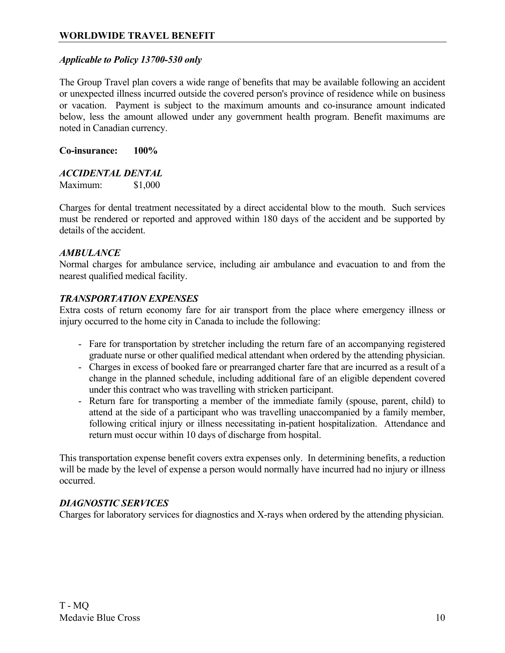### <span id="page-14-0"></span>*Applicable to Policy 13700-530 only*

The Group Travel plan covers a wide range of benefits that may be available following an accident or unexpected illness incurred outside the covered person's province of residence while on business or vacation. Payment is subject to the maximum amounts and co-insurance amount indicated below, less the amount allowed under any government health program. Benefit maximums are noted in Canadian currency.

**Co-insurance: 100%**

#### *ACCIDENTAL DENTAL*

Maximum: \$1,000

Charges for dental treatment necessitated by a direct accidental blow to the mouth. Such services must be rendered or reported and approved within 180 days of the accident and be supported by details of the accident.

#### *AMBULANCE*

Normal charges for ambulance service, including air ambulance and evacuation to and from the nearest qualified medical facility.

### *TRANSPORTATION EXPENSES*

Extra costs of return economy fare for air transport from the place where emergency illness or injury occurred to the home city in Canada to include the following:

- Fare for transportation by stretcher including the return fare of an accompanying registered graduate nurse or other qualified medical attendant when ordered by the attending physician.
- Charges in excess of booked fare or prearranged charter fare that are incurred as a result of a change in the planned schedule, including additional fare of an eligible dependent covered under this contract who was travelling with stricken participant.
- Return fare for transporting a member of the immediate family (spouse, parent, child) to attend at the side of a participant who was travelling unaccompanied by a family member, following critical injury or illness necessitating in-patient hospitalization. Attendance and return must occur within 10 days of discharge from hospital.

This transportation expense benefit covers extra expenses only. In determining benefits, a reduction will be made by the level of expense a person would normally have incurred had no injury or illness occurred.

### *DIAGNOSTIC SERVICES*

Charges for laboratory services for diagnostics and X-rays when ordered by the attending physician.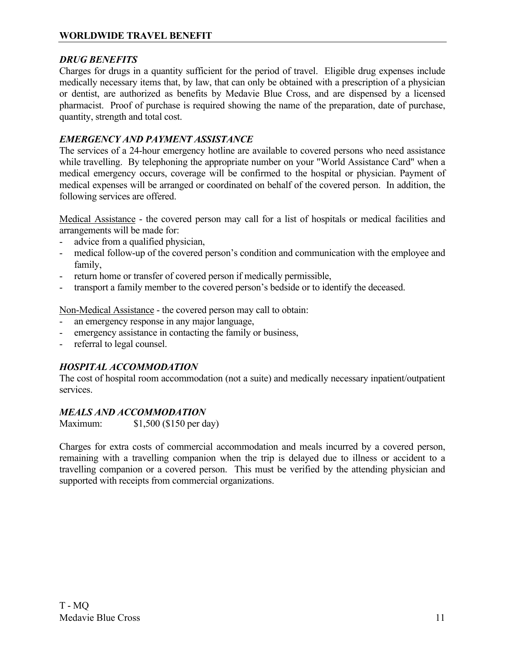# *DRUG BENEFITS*

Charges for drugs in a quantity sufficient for the period of travel. Eligible drug expenses include medically necessary items that, by law, that can only be obtained with a prescription of a physician or dentist, are authorized as benefits by Medavie Blue Cross, and are dispensed by a licensed pharmacist. Proof of purchase is required showing the name of the preparation, date of purchase, quantity, strength and total cost.

# *EMERGENCY AND PAYMENT ASSISTANCE*

The services of a 24-hour emergency hotline are available to covered persons who need assistance while travelling. By telephoning the appropriate number on your "World Assistance Card" when a medical emergency occurs, coverage will be confirmed to the hospital or physician. Payment of medical expenses will be arranged or coordinated on behalf of the covered person. In addition, the following services are offered.

Medical Assistance - the covered person may call for a list of hospitals or medical facilities and arrangements will be made for:

- advice from a qualified physician,
- medical follow-up of the covered person's condition and communication with the employee and family,
- return home or transfer of covered person if medically permissible,
- transport a family member to the covered person's bedside or to identify the deceased.

Non-Medical Assistance - the covered person may call to obtain:

- an emergency response in any major language,
- emergency assistance in contacting the family or business,
- referral to legal counsel.

# *HOSPITAL ACCOMMODATION*

The cost of hospital room accommodation (not a suite) and medically necessary inpatient/outpatient services.

# *MEALS AND ACCOMMODATION*

Maximum: \$1,500 (\$150 per day)

Charges for extra costs of commercial accommodation and meals incurred by a covered person, remaining with a travelling companion when the trip is delayed due to illness or accident to a travelling companion or a covered person. This must be verified by the attending physician and supported with receipts from commercial organizations.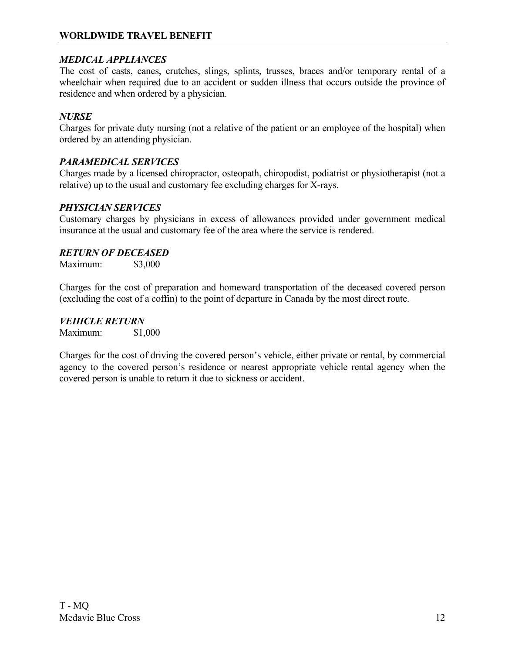# **WORLDWIDE TRAVEL BENEFIT**

### *MEDICAL APPLIANCES*

The cost of casts, canes, crutches, slings, splints, trusses, braces and/or temporary rental of a wheelchair when required due to an accident or sudden illness that occurs outside the province of residence and when ordered by a physician.

### *NURSE*

Charges for private duty nursing (not a relative of the patient or an employee of the hospital) when ordered by an attending physician.

### *PARAMEDICAL SERVICES*

Charges made by a licensed chiropractor, osteopath, chiropodist, podiatrist or physiotherapist (not a relative) up to the usual and customary fee excluding charges for X-rays.

### *PHYSICIAN SERVICES*

Customary charges by physicians in excess of allowances provided under government medical insurance at the usual and customary fee of the area where the service is rendered.

### *RETURN OF DECEASED*

Maximum: \$3,000

Charges for the cost of preparation and homeward transportation of the deceased covered person (excluding the cost of a coffin) to the point of departure in Canada by the most direct route.

*VEHICLE RETURN* Maximum: \$1,000

Charges for the cost of driving the covered person's vehicle, either private or rental, by commercial agency to the covered person's residence or nearest appropriate vehicle rental agency when the covered person is unable to return it due to sickness or accident.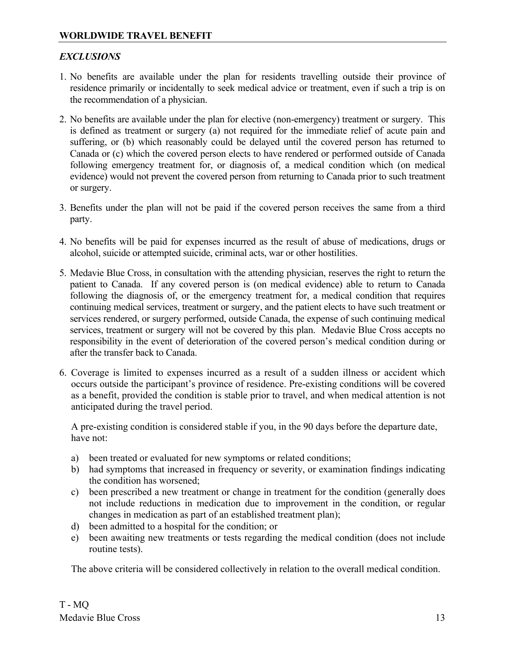# *EXCLUSIONS*

- 1. No benefits are available under the plan for residents travelling outside their province of residence primarily or incidentally to seek medical advice or treatment, even if such a trip is on the recommendation of a physician.
- 2. No benefits are available under the plan for elective (non-emergency) treatment or surgery. This is defined as treatment or surgery (a) not required for the immediate relief of acute pain and suffering, or (b) which reasonably could be delayed until the covered person has returned to Canada or (c) which the covered person elects to have rendered or performed outside of Canada following emergency treatment for, or diagnosis of, a medical condition which (on medical evidence) would not prevent the covered person from returning to Canada prior to such treatment or surgery.
- 3. Benefits under the plan will not be paid if the covered person receives the same from a third party.
- 4. No benefits will be paid for expenses incurred as the result of abuse of medications, drugs or alcohol, suicide or attempted suicide, criminal acts, war or other hostilities.
- 5. Medavie Blue Cross, in consultation with the attending physician, reserves the right to return the patient to Canada. If any covered person is (on medical evidence) able to return to Canada following the diagnosis of, or the emergency treatment for, a medical condition that requires continuing medical services, treatment or surgery, and the patient elects to have such treatment or services rendered, or surgery performed, outside Canada, the expense of such continuing medical services, treatment or surgery will not be covered by this plan. Medavie Blue Cross accepts no responsibility in the event of deterioration of the covered person's medical condition during or after the transfer back to Canada.
- 6. Coverage is limited to expenses incurred as a result of a sudden illness or accident which occurs outside the participant's province of residence. Pre-existing conditions will be covered as a benefit, provided the condition is stable prior to travel, and when medical attention is not anticipated during the travel period.

A pre-existing condition is considered stable if you, in the 90 days before the departure date, have not:

- a) been treated or evaluated for new symptoms or related conditions;
- b) had symptoms that increased in frequency or severity, or examination findings indicating the condition has worsened;
- c) been prescribed a new treatment or change in treatment for the condition (generally does not include reductions in medication due to improvement in the condition, or regular changes in medication as part of an established treatment plan);
- d) been admitted to a hospital for the condition; or
- e) been awaiting new treatments or tests regarding the medical condition (does not include routine tests).

The above criteria will be considered collectively in relation to the overall medical condition.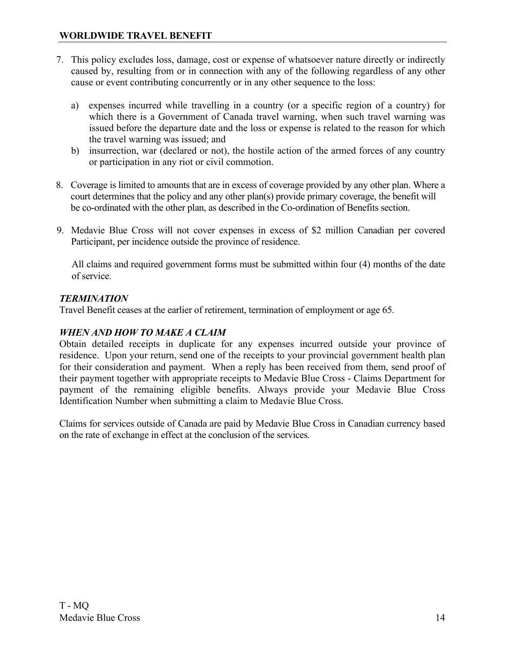- 7. This policy excludes loss, damage, cost or expense of whatsoever nature directly or indirectly caused by, resulting from or in connection with any of the following regardless of any other cause or event contributing concurrently or in any other sequence to the loss:
	- a) expenses incurred while travelling in a country (or a specific region of a country) for which there is a Government of Canada travel warning, when such travel warning was issued before the departure date and the loss or expense is related to the reason for which the travel warning was issued; and
	- b) insurrection, war (declared or not), the hostile action of the armed forces of any country or participation in any riot or civil commotion.
- 8. Coverage is limited to amounts that are in excess of coverage provided by any other plan. Where a court determines that the policy and any other plan(s) provide primary coverage, the benefit will be co-ordinated with the other plan, as described in the Co-ordination of Benefits section.
- 9. Medavie Blue Cross will not cover expenses in excess of \$2 million Canadian per covered Participant, per incidence outside the province of residence.

All claims and required government forms must be submitted within four (4) months of the date of service.

# *TERMINATION*

Travel Benefit ceases at the earlier of retirement, termination of employment or age 65.

# *WHEN AND HOW TO MAKE A CLAIM*

Obtain detailed receipts in duplicate for any expenses incurred outside your province of residence. Upon your return, send one of the receipts to your provincial government health plan for their consideration and payment. When a reply has been received from them, send proof of their payment together with appropriate receipts to Medavie Blue Cross - Claims Department for payment of the remaining eligible benefits. Always provide your Medavie Blue Cross Identification Number when submitting a claim to Medavie Blue Cross.

Claims for services outside of Canada are paid by Medavie Blue Cross in Canadian currency based on the rate of exchange in effect at the conclusion of the services.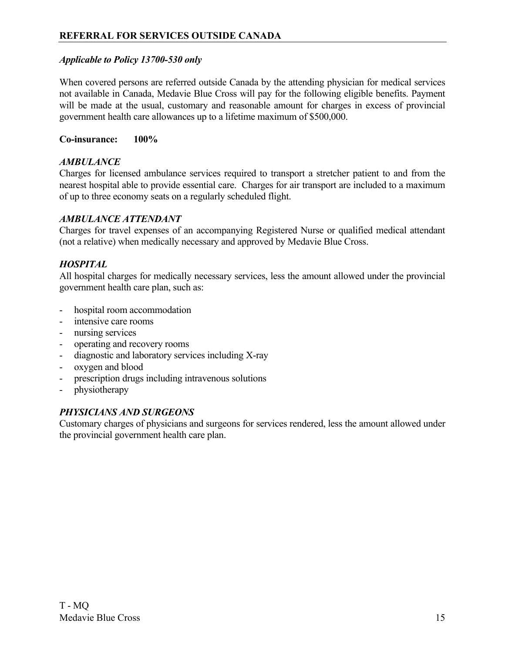# <span id="page-19-0"></span>*Applicable to Policy 13700-530 only*

When covered persons are referred outside Canada by the attending physician for medical services not available in Canada, Medavie Blue Cross will pay for the following eligible benefits. Payment will be made at the usual, customary and reasonable amount for charges in excess of provincial government health care allowances up to a lifetime maximum of \$500,000.

### **Co-insurance: 100%**

# *AMBULANCE*

Charges for licensed ambulance services required to transport a stretcher patient to and from the nearest hospital able to provide essential care. Charges for air transport are included to a maximum of up to three economy seats on a regularly scheduled flight.

### *AMBULANCE ATTENDANT*

Charges for travel expenses of an accompanying Registered Nurse or qualified medical attendant (not a relative) when medically necessary and approved by Medavie Blue Cross.

### *HOSPITAL*

All hospital charges for medically necessary services, less the amount allowed under the provincial government health care plan, such as:

- hospital room accommodation
- intensive care rooms
- nursing services
- operating and recovery rooms
- diagnostic and laboratory services including X-ray
- oxygen and blood
- prescription drugs including intravenous solutions
- physiotherapy

### *PHYSICIANS AND SURGEONS*

Customary charges of physicians and surgeons for services rendered, less the amount allowed under the provincial government health care plan.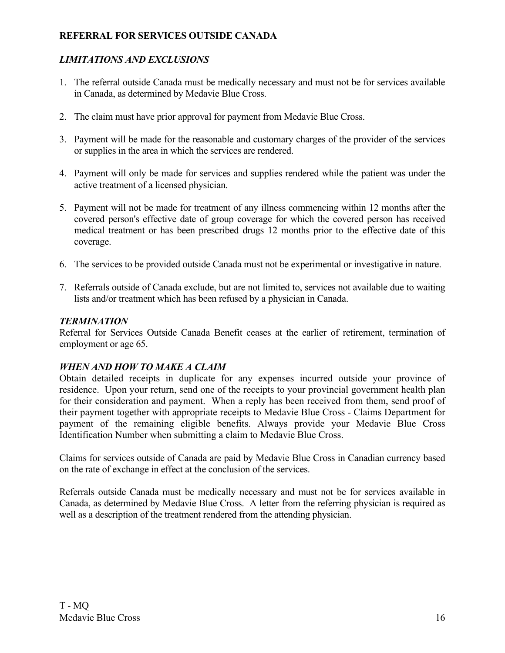# *LIMITATIONS AND EXCLUSIONS*

- 1. The referral outside Canada must be medically necessary and must not be for services available in Canada, as determined by Medavie Blue Cross.
- 2. The claim must have prior approval for payment from Medavie Blue Cross.
- 3. Payment will be made for the reasonable and customary charges of the provider of the services or supplies in the area in which the services are rendered.
- 4. Payment will only be made for services and supplies rendered while the patient was under the active treatment of a licensed physician.
- 5. Payment will not be made for treatment of any illness commencing within 12 months after the covered person's effective date of group coverage for which the covered person has received medical treatment or has been prescribed drugs 12 months prior to the effective date of this coverage.
- 6. The services to be provided outside Canada must not be experimental or investigative in nature.
- 7. Referrals outside of Canada exclude, but are not limited to, services not available due to waiting lists and/or treatment which has been refused by a physician in Canada.

### *TERMINATION*

Referral for Services Outside Canada Benefit ceases at the earlier of retirement, termination of employment or age 65.

# *WHEN AND HOW TO MAKE A CLAIM*

Obtain detailed receipts in duplicate for any expenses incurred outside your province of residence. Upon your return, send one of the receipts to your provincial government health plan for their consideration and payment. When a reply has been received from them, send proof of their payment together with appropriate receipts to Medavie Blue Cross - Claims Department for payment of the remaining eligible benefits. Always provide your Medavie Blue Cross Identification Number when submitting a claim to Medavie Blue Cross.

Claims for services outside of Canada are paid by Medavie Blue Cross in Canadian currency based on the rate of exchange in effect at the conclusion of the services.

Referrals outside Canada must be medically necessary and must not be for services available in Canada, as determined by Medavie Blue Cross. A letter from the referring physician is required as well as a description of the treatment rendered from the attending physician.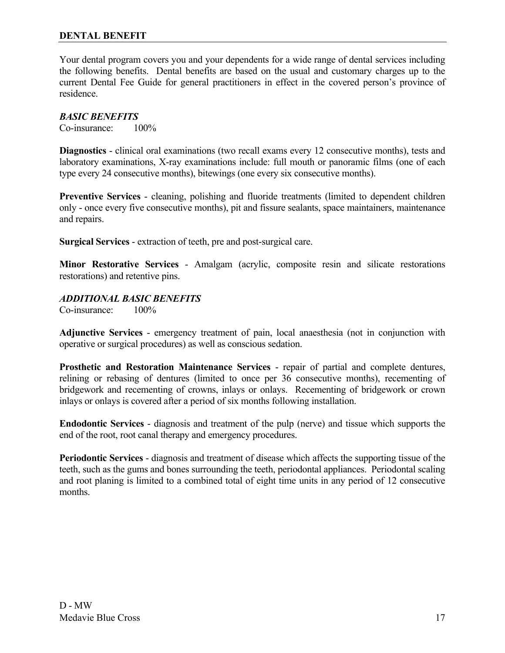### <span id="page-21-0"></span>**DENTAL BENEFIT**

Your dental program covers you and your dependents for a wide range of dental services including the following benefits. Dental benefits are based on the usual and customary charges up to the current Dental Fee Guide for general practitioners in effect in the covered person's province of residence.

#### *BASIC BENEFITS*

Co-insurance: 100%

**Diagnostics** - clinical oral examinations (two recall exams every 12 consecutive months), tests and laboratory examinations, X-ray examinations include: full mouth or panoramic films (one of each type every 24 consecutive months), bitewings (one every six consecutive months).

**Preventive Services** - cleaning, polishing and fluoride treatments (limited to dependent children only - once every five consecutive months), pit and fissure sealants, space maintainers, maintenance and repairs.

**Surgical Services** - extraction of teeth, pre and post-surgical care.

**Minor Restorative Services** - Amalgam (acrylic, composite resin and silicate restorations restorations) and retentive pins.

### *ADDITIONAL BASIC BENEFITS*

Co-insurance: 100%

**Adjunctive Services** - emergency treatment of pain, local anaesthesia (not in conjunction with operative or surgical procedures) as well as conscious sedation.

**Prosthetic and Restoration Maintenance Services** - repair of partial and complete dentures, relining or rebasing of dentures (limited to once per 36 consecutive months), recementing of bridgework and recementing of crowns, inlays or onlays. Recementing of bridgework or crown inlays or onlays is covered after a period of six months following installation.

**Endodontic Services** - diagnosis and treatment of the pulp (nerve) and tissue which supports the end of the root, root canal therapy and emergency procedures.

**Periodontic Services** - diagnosis and treatment of disease which affects the supporting tissue of the teeth, such as the gums and bones surrounding the teeth, periodontal appliances. Periodontal scaling and root planing is limited to a combined total of eight time units in any period of 12 consecutive months.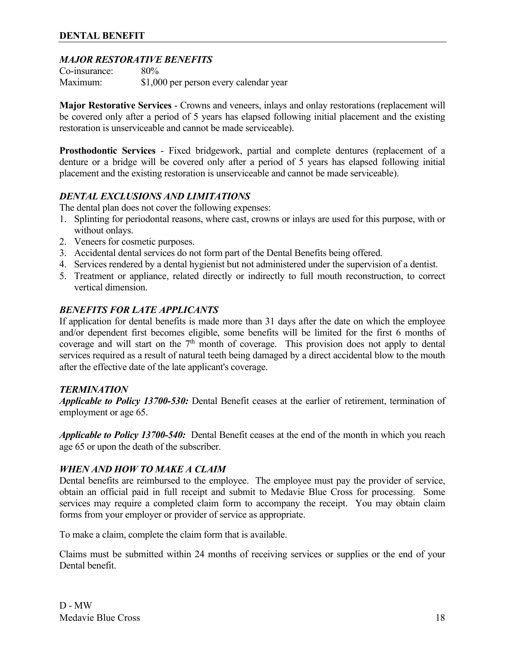### *MAJOR RESTORATIVE BENEFITS*

Co-insurance: 80% Maximum: \$1,000 per person every calendar year

**Major Restorative Services** - Crowns and veneers, inlays and onlay restorations (replacement will be covered only after a period of 5 years has elapsed following initial placement and the existing restoration is unserviceable and cannot be made serviceable).

**Prosthodontic Services** - Fixed bridgework, partial and complete dentures (replacement of a denture or a bridge will be covered only after a period of 5 years has elapsed following initial placement and the existing restoration is unserviceable and cannot be made serviceable).

### *DENTAL EXCLUSIONS AND LIMITATIONS*

The dental plan does not cover the following expenses:

- 1. Splinting for periodontal reasons, where cast, crowns or inlays are used for this purpose, with or without onlays.
- 2. Veneers for cosmetic purposes.
- 3. Accidental dental services do not form part of the Dental Benefits being offered.
- 4. Services rendered by a dental hygienist but not administered under the supervision of a dentist.
- 5. Treatment or appliance, related directly or indirectly to full mouth reconstruction, to correct vertical dimension.

### *BENEFITS FOR LATE APPLICANTS*

If application for dental benefits is made more than 31 days after the date on which the employee and/or dependent first becomes eligible, some benefits will be limited for the first 6 months of coverage and will start on the  $7<sup>th</sup>$  month of coverage. This provision does not apply to dental services required as a result of natural teeth being damaged by a direct accidental blow to the mouth after the effective date of the late applicant's coverage.

### *TERMINATION*

*Applicable to Policy 13700-530:* Dental Benefit ceases at the earlier of retirement, termination of employment or age 65.

*Applicable to Policy 13700-540:* Dental Benefit ceases at the end of the month in which you reach age 65 or upon the death of the subscriber.

### *WHEN AND HOW TO MAKE A CLAIM*

Dental benefits are reimbursed to the employee. The employee must pay the provider of service, obtain an official paid in full receipt and submit to Medavie Blue Cross for processing. Some services may require a completed claim form to accompany the receipt. You may obtain claim forms from your employer or provider of service as appropriate.

To make a claim, complete the claim form that is available.

Claims must be submitted within 24 months of receiving services or supplies or the end of your Dental benefit.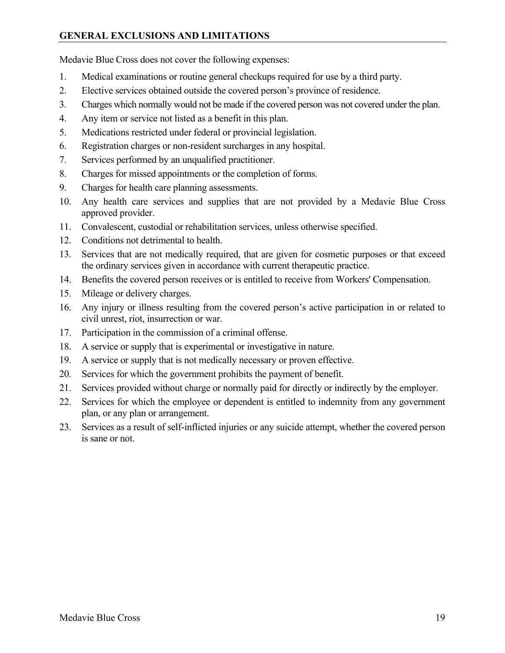# <span id="page-23-0"></span>**GENERAL EXCLUSIONS AND LIMITATIONS**

Medavie Blue Cross does not cover the following expenses:

- 1. Medical examinations or routine general checkups required for use by a third party.
- 2. Elective services obtained outside the covered person's province of residence.
- 3. Charges which normally would not be made if the covered person was not covered under the plan.
- 4. Any item or service not listed as a benefit in this plan.
- 5. Medications restricted under federal or provincial legislation.
- 6. Registration charges or non-resident surcharges in any hospital.
- 7. Services performed by an unqualified practitioner.
- 8. Charges for missed appointments or the completion of forms.
- 9. Charges for health care planning assessments.
- 10. Any health care services and supplies that are not provided by a Medavie Blue Cross approved provider.
- 11. Convalescent, custodial or rehabilitation services, unless otherwise specified.
- 12. Conditions not detrimental to health.
- 13. Services that are not medically required, that are given for cosmetic purposes or that exceed the ordinary services given in accordance with current therapeutic practice.
- 14. Benefits the covered person receives or is entitled to receive from Workers' Compensation.
- 15. Mileage or delivery charges.
- 16. Any injury or illness resulting from the covered person's active participation in or related to civil unrest, riot, insurrection or war.
- 17. Participation in the commission of a criminal offense.
- 18. A service or supply that is experimental or investigative in nature.
- 19. A service or supply that is not medically necessary or proven effective.
- 20. Services for which the government prohibits the payment of benefit.
- 21. Services provided without charge or normally paid for directly or indirectly by the employer.
- 22. Services for which the employee or dependent is entitled to indemnity from any government plan, or any plan or arrangement.
- 23. Services as a result of self-inflicted injuries or any suicide attempt, whether the covered person is sane or not.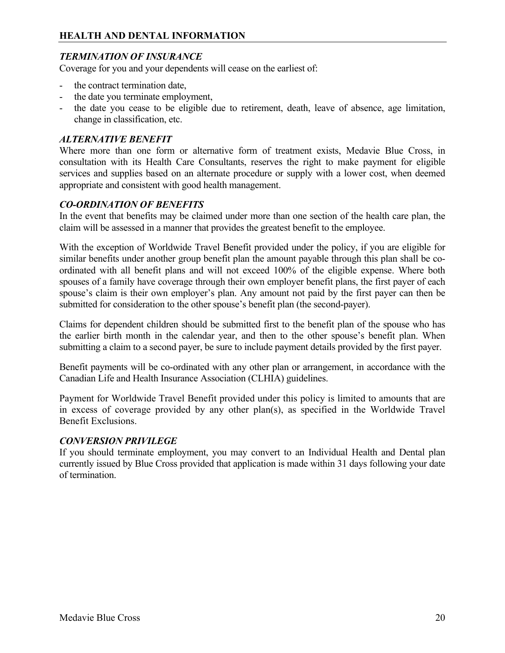# <span id="page-24-0"></span>**HEALTH AND DENTAL INFORMATION**

# *TERMINATION OF INSURANCE*

Coverage for you and your dependents will cease on the earliest of:

- the contract termination date,
- the date you terminate employment,
- the date you cease to be eligible due to retirement, death, leave of absence, age limitation, change in classification, etc.

### *ALTERNATIVE BENEFIT*

Where more than one form or alternative form of treatment exists, Medavie Blue Cross, in consultation with its Health Care Consultants, reserves the right to make payment for eligible services and supplies based on an alternate procedure or supply with a lower cost, when deemed appropriate and consistent with good health management.

### *CO-ORDINATION OF BENEFITS*

In the event that benefits may be claimed under more than one section of the health care plan, the claim will be assessed in a manner that provides the greatest benefit to the employee.

With the exception of Worldwide Travel Benefit provided under the policy, if you are eligible for similar benefits under another group benefit plan the amount payable through this plan shall be coordinated with all benefit plans and will not exceed 100% of the eligible expense. Where both spouses of a family have coverage through their own employer benefit plans, the first payer of each spouse's claim is their own employer's plan. Any amount not paid by the first payer can then be submitted for consideration to the other spouse's benefit plan (the second-payer).

Claims for dependent children should be submitted first to the benefit plan of the spouse who has the earlier birth month in the calendar year, and then to the other spouse's benefit plan. When submitting a claim to a second payer, be sure to include payment details provided by the first payer.

Benefit payments will be co-ordinated with any other plan or arrangement, in accordance with the Canadian Life and Health Insurance Association (CLHIA) guidelines.

Payment for Worldwide Travel Benefit provided under this policy is limited to amounts that are in excess of coverage provided by any other plan(s), as specified in the Worldwide Travel Benefit Exclusions.

### *CONVERSION PRIVILEGE*

If you should terminate employment, you may convert to an Individual Health and Dental plan currently issued by Blue Cross provided that application is made within 31 days following your date of termination.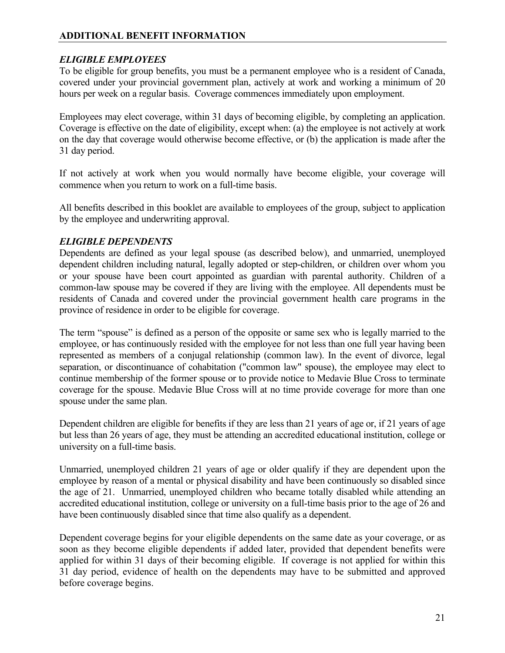# <span id="page-25-0"></span>**ADDITIONAL BENEFIT INFORMATION**

### *ELIGIBLE EMPLOYEES*

To be eligible for group benefits, you must be a permanent employee who is a resident of Canada, covered under your provincial government plan, actively at work and working a minimum of 20 hours per week on a regular basis. Coverage commences immediately upon employment.

Employees may elect coverage, within 31 days of becoming eligible, by completing an application. Coverage is effective on the date of eligibility, except when: (a) the employee is not actively at work on the day that coverage would otherwise become effective, or (b) the application is made after the 31 day period.

If not actively at work when you would normally have become eligible, your coverage will commence when you return to work on a full-time basis.

All benefits described in this booklet are available to employees of the group, subject to application by the employee and underwriting approval.

### *ELIGIBLE DEPENDENTS*

Dependents are defined as your legal spouse (as described below), and unmarried, unemployed dependent children including natural, legally adopted or step-children, or children over whom you or your spouse have been court appointed as guardian with parental authority. Children of a common-law spouse may be covered if they are living with the employee. All dependents must be residents of Canada and covered under the provincial government health care programs in the province of residence in order to be eligible for coverage.

The term "spouse" is defined as a person of the opposite or same sex who is legally married to the employee, or has continuously resided with the employee for not less than one full year having been represented as members of a conjugal relationship (common law). In the event of divorce, legal separation, or discontinuance of cohabitation ("common law" spouse), the employee may elect to continue membership of the former spouse or to provide notice to Medavie Blue Cross to terminate coverage for the spouse. Medavie Blue Cross will at no time provide coverage for more than one spouse under the same plan.

Dependent children are eligible for benefits if they are less than 21 years of age or, if 21 years of age but less than 26 years of age, they must be attending an accredited educational institution, college or university on a full-time basis.

Unmarried, unemployed children 21 years of age or older qualify if they are dependent upon the employee by reason of a mental or physical disability and have been continuously so disabled since the age of 21. Unmarried, unemployed children who became totally disabled while attending an accredited educational institution, college or university on a full-time basis prior to the age of 26 and have been continuously disabled since that time also qualify as a dependent.

Dependent coverage begins for your eligible dependents on the same date as your coverage, or as soon as they become eligible dependents if added later, provided that dependent benefits were applied for within 31 days of their becoming eligible. If coverage is not applied for within this 31 day period, evidence of health on the dependents may have to be submitted and approved before coverage begins.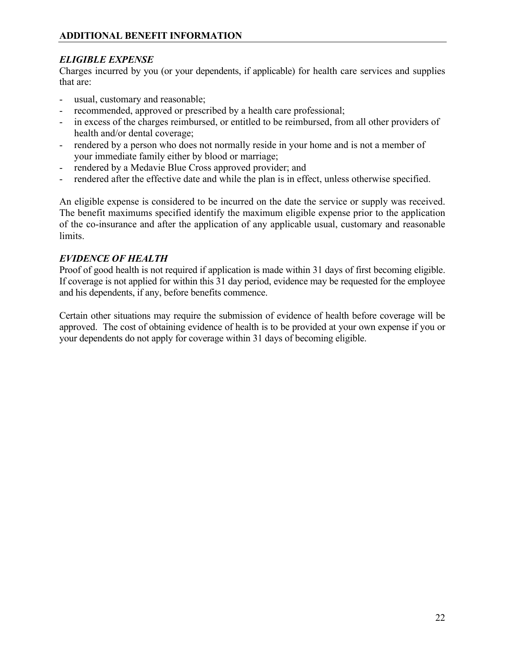# *ELIGIBLE EXPENSE*

Charges incurred by you (or your dependents, if applicable) for health care services and supplies that are:

- usual, customary and reasonable;
- recommended, approved or prescribed by a health care professional;
- in excess of the charges reimbursed, or entitled to be reimbursed, from all other providers of health and/or dental coverage;
- rendered by a person who does not normally reside in your home and is not a member of your immediate family either by blood or marriage;
- rendered by a Medavie Blue Cross approved provider; and
- rendered after the effective date and while the plan is in effect, unless otherwise specified.

An eligible expense is considered to be incurred on the date the service or supply was received. The benefit maximums specified identify the maximum eligible expense prior to the application of the co-insurance and after the application of any applicable usual, customary and reasonable limits.

### *EVIDENCE OF HEALTH*

Proof of good health is not required if application is made within 31 days of first becoming eligible. If coverage is not applied for within this 31 day period, evidence may be requested for the employee and his dependents, if any, before benefits commence.

Certain other situations may require the submission of evidence of health before coverage will be approved. The cost of obtaining evidence of health is to be provided at your own expense if you or your dependents do not apply for coverage within 31 days of becoming eligible.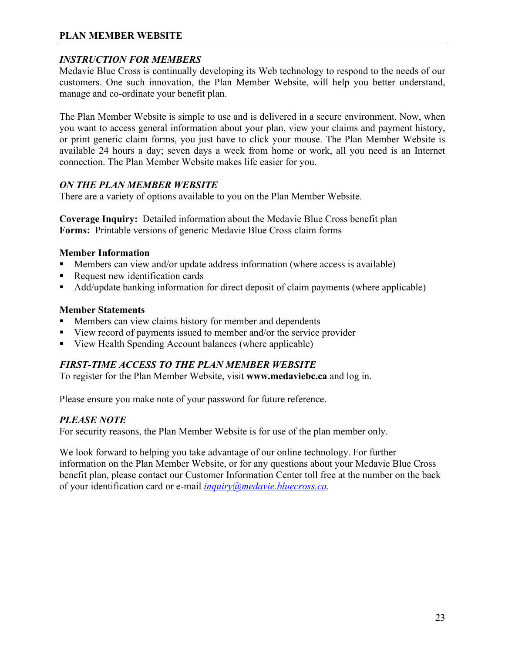# <span id="page-27-0"></span>**PLAN MEMBER WEBSITE**

### *INSTRUCTION FOR MEMBERS*

Medavie Blue Cross is continually developing its Web technology to respond to the needs of our customers. One such innovation, the Plan Member Website, will help you better understand, manage and co-ordinate your benefit plan.

The Plan Member Website is simple to use and is delivered in a secure environment. Now, when you want to access general information about your plan, view your claims and payment history, or print generic claim forms, you just have to click your mouse. The Plan Member Website is available 24 hours a day; seven days a week from home or work, all you need is an Internet connection. The Plan Member Website makes life easier for you.

# *ON THE PLAN MEMBER WEBSITE*

There are a variety of options available to you on the Plan Member Website.

**Coverage Inquiry:** Detailed information about the Medavie Blue Cross benefit plan **Forms:** Printable versions of generic Medavie Blue Cross claim forms

### **Member Information**

- Members can view and/or update address information (where access is available)
- Request new identification cards
- Add/update banking information for direct deposit of claim payments (where applicable)

### **Member Statements**

- Members can view claims history for member and dependents
- View record of payments issued to member and/or the service provider
- View Health Spending Account balances (where applicable)

# *FIRST-TIME ACCESS TO THE PLAN MEMBER WEBSITE*

To register for the Plan Member Website, visit **www.medaviebc.ca** and log in.

Please ensure you make note of your password for future reference.

# *PLEASE NOTE*

For security reasons, the Plan Member Website is for use of the plan member only.

We look forward to helping you take advantage of our online technology. For further information on the Plan Member Website, or for any questions about your Medavie Blue Cross benefit plan, please contact our Customer Information Center toll free at the number on the back of your identification card or e-mail *[inquiry@medavie.bluecross.ca.](mailto:inquiry@medavie.bluecross.ca)*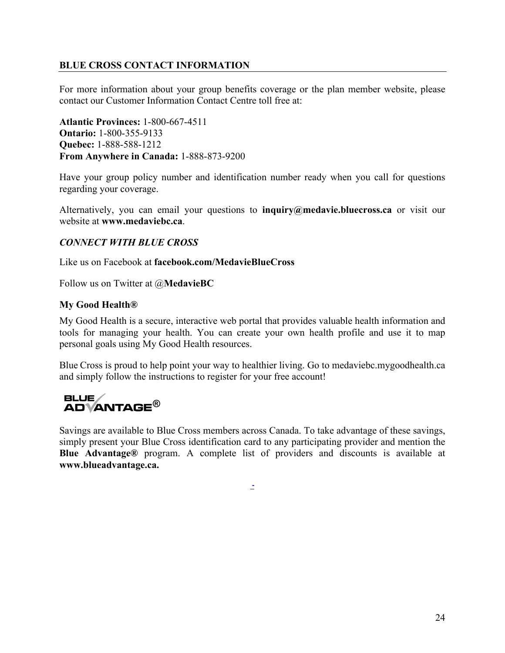# <span id="page-28-0"></span>**BLUE CROSS CONTACT INFORMATION**

For more information about your group benefits coverage or the plan member website, please contact our Customer Information Contact Centre toll free at:

**Atlantic Provinces:** 1-800-667-4511 **Ontario:** 1-800-355-9133 **Quebec:** 1-888-588-1212 **From Anywhere in Canada:** 1-888-873-9200

Have your group policy number and identification number ready when you call for questions regarding your coverage.

Alternatively, you can email your questions to **inquiry@medavie.bluecross.ca** or visit our website at **www.medaviebc.ca**.

### *CONNECT WITH BLUE CROSS*

Like us on Facebook at **facebook.com/MedavieBlueCross**

Follow us on Twitter at @**MedavieBC**

#### **My Good Health®**

My Good Health is a secure, interactive web portal that provides valuable health information and tools for managing your health. You can create your own health profile and use it to map personal goals using My Good Health resources.

Blue Cross is proud to help point your way to healthier living. Go to medaviebc.mygoodhealth.ca and simply follow the instructions to register for your free account!

# **BLUE ADVANTAGE®**

Savings are available to Blue Cross members across Canada. To take advantage of these savings, simply present your Blue Cross identification card to any participating provider and mention the **Blue Advantage®** program. A complete list of providers and discounts is available at **www.blueadvantage.ca.**

**-**